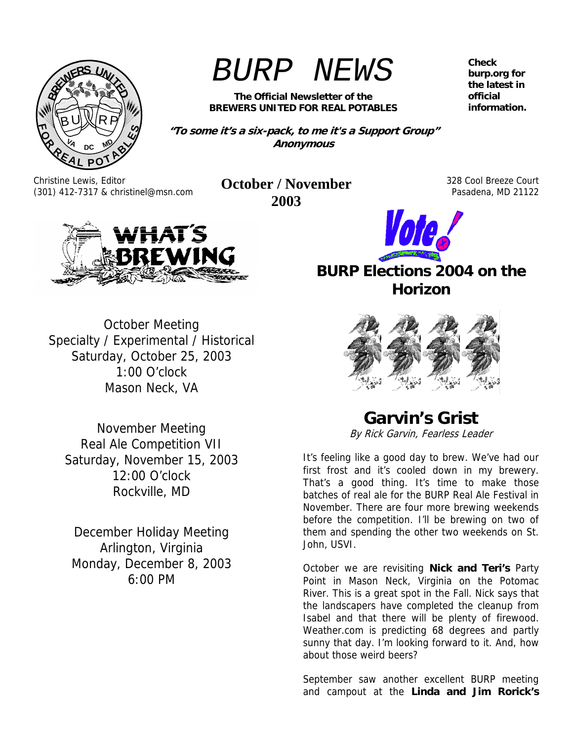

# *BURP NEWS*

**The Official Newsletter of the BREWERS UNITED FOR REAL POTABLES** 

**"To some it's a six-pack, to me it's a Support Group" Anonymous** 

Christine Lewis, Editor (301) 412-7317 & christinel@msn.com **October / November** 

**2003** 

328 Cool Breeze Court Pasadena, MD 21122



October Meeting Specialty / Experimental / Historical Saturday, October 25, 2003 1:00 O'clock Mason Neck, VA

November Meeting Real Ale Competition VII Saturday, November 15, 2003 12:00 O'clock Rockville, MD

December Holiday Meeting Arlington, Virginia Monday, December 8, 2003 6:00 PM



## **BURP Elections 2004 on the Horizon**



## **Garvin's Grist**

By Rick Garvin, Fearless Leader

It's feeling like a good day to brew. We've had our first frost and it's cooled down in my brewery. That's a good thing. It's time to make those batches of real ale for the BURP Real Ale Festival in November. There are four more brewing weekends before the competition. I'll be brewing on two of them and spending the other two weekends on St. John, USVI.

October we are revisiting **Nick and Teri's** Party Point in Mason Neck, Virginia on the Potomac River. This is a great spot in the Fall. Nick says that the landscapers have completed the cleanup from Isabel and that there will be plenty of firewood. Weather.com is predicting 68 degrees and partly sunny that day. I'm looking forward to it. And, how about those weird beers?

September saw another excellent BURP meeting and campout at the **Linda and Jim Rorick's**

**Check burp.org for the latest in official information.**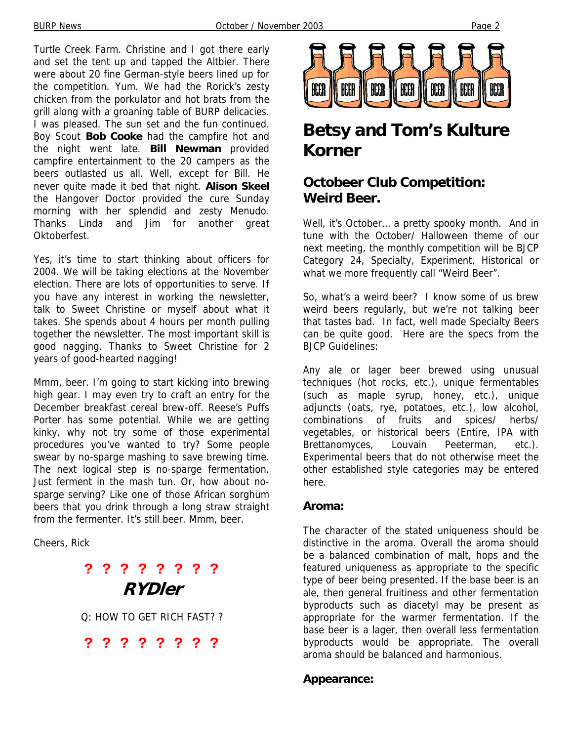Turtle Creek Farm. Christine and I got there early and set the tent up and tapped the Altbier. There were about 20 fine German-style beers lined up for the competition. Yum. We had the Rorick's zesty chicken from the porkulator and hot brats from the grill along with a groaning table of BURP delicacies. I was pleased. The sun set and the fun continued. Boy Scout **Bob Cooke** had the campfire hot and the night went late. **Bill Newman** provided campfire entertainment to the 20 campers as the beers outlasted us all. Well, except for Bill. He never quite made it bed that night. **Alison Skeel**  the Hangover Doctor provided the cure Sunday morning with her splendid and zesty Menudo. Thanks Linda and Jim for another great Oktoberfest.

Yes, it's time to start thinking about officers for 2004. We will be taking elections at the November election. There are lots of opportunities to serve. If you have any interest in working the newsletter, talk to Sweet Christine or myself about what it takes. She spends about 4 hours per month pulling together the newsletter. The most important skill is good nagging. Thanks to Sweet Christine for 2 years of good-hearted nagging!

Mmm, beer. I'm going to start kicking into brewing high gear. I may even try to craft an entry for the December breakfast cereal brew-off. Reese's Puffs Porter has some potential. While we are getting kinky, why not try some of those experimental procedures you've wanted to try? Some people swear by no-sparge mashing to save brewing time. The next logical step is no-sparge fermentation. Just ferment in the mash tun. Or, how about nosparge serving? Like one of those African sorghum beers that you drink through a long straw straight from the fermenter. It's still beer. Mmm, beer.

Cheers, Rick

## **? ? ? ? ? ? ? ? RYDler**

Q: HOW TO GET RICH FAST? ?

**? ? ? ? ? ? ? ?**



## **Betsy and Tom's Kulture Korner**

### **Octobeer Club Competition: Weird Beer.**

Well, it's October… a pretty spooky month. And in tune with the October/ Halloween theme of our next meeting, the monthly competition will be BJCP Category 24, Specialty, Experiment, Historical or what we more frequently call "Weird Beer".

So, what's a weird beer? I know some of us brew weird beers regularly, but we're not talking beer that tastes bad. In fact, well made Specialty Beers can be quite good. Here are the specs from the BJCP Guidelines:

Any ale or lager beer brewed using unusual techniques (hot rocks, etc.), unique fermentables (such as maple syrup, honey, etc.), unique adjuncts (oats, rye, potatoes, etc.), low alcohol, combinations of fruits and spices/ herbs/ vegetables, or historical beers (Entire, IPA with Brettanomyces, Louvain Peeterman, etc.). Experimental beers that do not otherwise meet the other established style categories may be entered here.

#### **Aroma:**

The character of the stated uniqueness should be distinctive in the aroma. Overall the aroma should be a balanced combination of malt, hops and the featured uniqueness as appropriate to the specific type of beer being presented. If the base beer is an ale, then general fruitiness and other fermentation byproducts such as diacetyl may be present as appropriate for the warmer fermentation. If the base beer is a lager, then overall less fermentation byproducts would be appropriate. The overall aroma should be balanced and harmonious.

#### **Appearance:**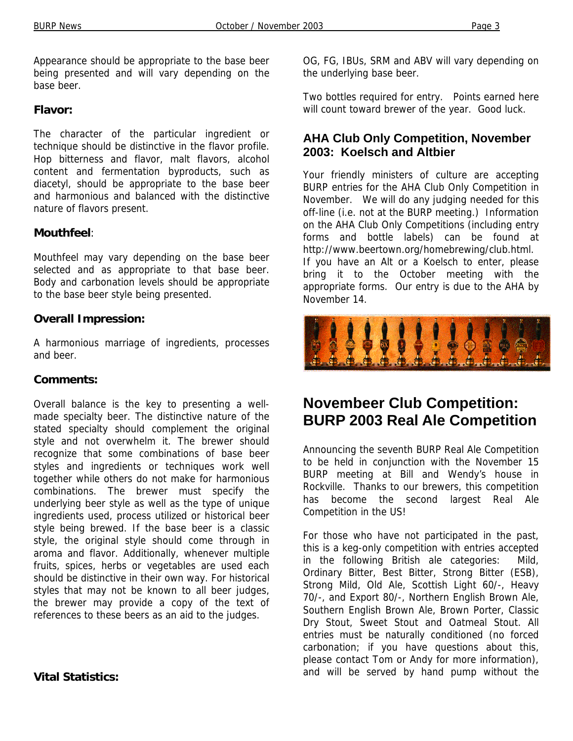Appearance should be appropriate to the base beer being presented and will vary depending on the base beer.

#### **Flavor:**

The character of the particular ingredient or technique should be distinctive in the flavor profile. Hop bitterness and flavor, malt flavors, alcohol content and fermentation byproducts, such as diacetyl, should be appropriate to the base beer and harmonious and balanced with the distinctive nature of flavors present.

#### **Mouthfeel**:

Mouthfeel may vary depending on the base beer selected and as appropriate to that base beer. Body and carbonation levels should be appropriate to the base beer style being presented.

#### **Overall Impression:**

A harmonious marriage of ingredients, processes and beer.

#### **Comments:**

Overall balance is the key to presenting a wellmade specialty beer. The distinctive nature of the stated specialty should complement the original style and not overwhelm it. The brewer should recognize that some combinations of base beer styles and ingredients or techniques work well together while others do not make for harmonious combinations. The brewer must specify the underlying beer style as well as the type of unique ingredients used, process utilized or historical beer style being brewed. If the base beer is a classic style, the original style should come through in aroma and flavor. Additionally, whenever multiple fruits, spices, herbs or vegetables are used each should be distinctive in their own way. For historical styles that may not be known to all beer judges, the brewer may provide a copy of the text of references to these beers as an aid to the judges.

**Vital Statistics:** 

OG, FG, IBUs, SRM and ABV will vary depending on the underlying base beer.

Two bottles required for entry. Points earned here will count toward brewer of the year. Good luck.

#### **AHA Club Only Competition, November 2003: Koelsch and Altbier**

Your friendly ministers of culture are accepting BURP entries for the AHA Club Only Competition in November. We will do any judging needed for this off-line (i.e. not at the BURP meeting.) Information on the AHA Club Only Competitions (including entry forms and bottle labels) can be found at http://www.beertown.org/homebrewing/club.html. If you have an Alt or a Koelsch to enter, please bring it to the October meeting with the appropriate forms. Our entry is due to the AHA by November 14.



## **Novembeer Club Competition: BURP 2003 Real Ale Competition**

Announcing the seventh BURP Real Ale Competition to be held in conjunction with the November 15 BURP meeting at Bill and Wendy's house in Rockville. Thanks to our brewers, this competition has become the second largest Real Ale Competition in the US!

For those who have not participated in the past, this is a keg-only competition with entries accepted in the following British ale categories: Mild, Ordinary Bitter, Best Bitter, Strong Bitter (ESB), Strong Mild, Old Ale, Scottish Light 60/-, Heavy 70/-, and Export 80/-, Northern English Brown Ale, Southern English Brown Ale, Brown Porter, Classic Dry Stout, Sweet Stout and Oatmeal Stout. All entries must be naturally conditioned (no forced carbonation; if you have questions about this, please contact Tom or Andy for more information), and will be served by hand pump without the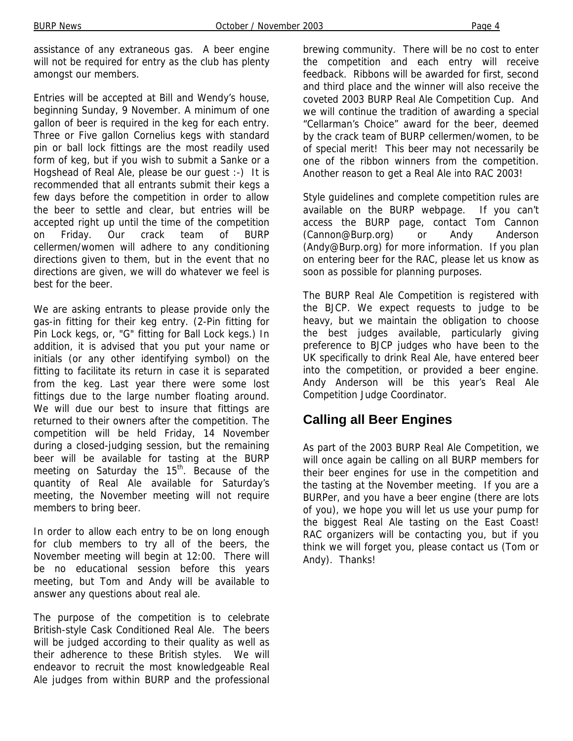assistance of any extraneous gas. A beer engine will not be required for entry as the club has plenty amongst our members.

Entries will be accepted at Bill and Wendy's house, beginning Sunday, 9 November. A minimum of one gallon of beer is required in the keg for each entry. Three or Five gallon Cornelius kegs with standard pin or ball lock fittings are the most readily used form of keg, but if you wish to submit a Sanke or a Hogshead of Real Ale, please be our guest :-) It is recommended that all entrants submit their kegs a few days before the competition in order to allow the beer to settle and clear, but entries will be accepted right up until the time of the competition on Friday. Our crack team of BURP cellermen/women will adhere to any conditioning directions given to them, but in the event that no directions are given, we will do whatever we feel is best for the beer.

We are asking entrants to please provide only the gas-in fitting for their keg entry. (2-Pin fitting for Pin Lock kegs, or, "G" fitting for Ball Lock kegs.) In addition, it is advised that you put your name or initials (or any other identifying symbol) on the fitting to facilitate its return in case it is separated from the keg. Last year there were some lost fittings due to the large number floating around. We will due our best to insure that fittings are returned to their owners after the competition. The competition will be held Friday, 14 November during a closed-judging session, but the remaining beer will be available for tasting at the BURP meeting on Saturday the  $15<sup>th</sup>$ . Because of the quantity of Real Ale available for Saturday's meeting, the November meeting will not require members to bring beer.

In order to allow each entry to be on long enough for club members to try all of the beers, the November meeting will begin at 12:00. There will be no educational session before this years meeting, but Tom and Andy will be available to answer any questions about real ale.

The purpose of the competition is to celebrate British-style Cask Conditioned Real Ale. The beers will be judged according to their quality as well as their adherence to these British styles. We will endeavor to recruit the most knowledgeable Real Ale judges from within BURP and the professional brewing community. There will be no cost to enter the competition and each entry will receive feedback. Ribbons will be awarded for first, second and third place and the winner will also receive the coveted 2003 BURP Real Ale Competition Cup. And we will continue the tradition of awarding a special "Cellarman's Choice" award for the beer, deemed by the crack team of BURP cellermen/women, to be of special merit! This beer may not necessarily be one of the ribbon winners from the competition. Another reason to get a Real Ale into RAC 2003!

Style guidelines and complete competition rules are available on the BURP webpage. If you can't access the BURP page, contact Tom Cannon (Cannon@Burp.org) or Andy Anderson (Andy@Burp.org) for more information. If you plan on entering beer for the RAC, please let us know as soon as possible for planning purposes.

The BURP Real Ale Competition is registered with the BJCP. We expect requests to judge to be heavy, but we maintain the obligation to choose the best judges available, particularly giving preference to BJCP judges who have been to the UK specifically to drink Real Ale, have entered beer into the competition, or provided a beer engine. Andy Anderson will be this year's Real Ale Competition Judge Coordinator.

### **Calling all Beer Engines**

As part of the 2003 BURP Real Ale Competition, we will once again be calling on all BURP members for their beer engines for use in the competition and the tasting at the November meeting. If you are a BURPer, and you have a beer engine (there are lots of you), we hope you will let us use your pump for the biggest Real Ale tasting on the East Coast! RAC organizers will be contacting you, but if you think we will forget you, please contact us (Tom or Andy). Thanks!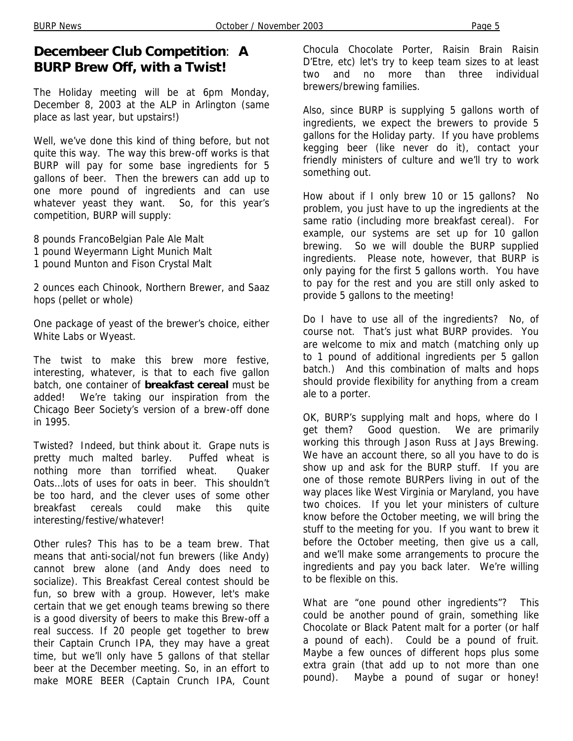#### **Decembeer Club Competition**: **A BURP Brew Off, with a Twist!**

The Holiday meeting will be at 6pm Monday, December 8, 2003 at the ALP in Arlington (same place as last year, but upstairs!)

Well, we've done this kind of thing before, but not quite this way. The way this brew-off works is that BURP will pay for some base ingredients for 5 gallons of beer. Then the brewers can add up to one more pound of ingredients and can use whatever yeast they want. So, for this year's competition, BURP will supply:

8 pounds FrancoBelgian Pale Ale Malt 1 pound Weyermann Light Munich Malt

1 pound Munton and Fison Crystal Malt

2 ounces each Chinook, Northern Brewer, and Saaz hops (pellet or whole)

One package of yeast of the brewer's choice, either White Labs or Wyeast.

The twist to make this brew more festive, interesting, whatever, is that to each five gallon batch, one container of **breakfast cereal** must be added! We're taking our inspiration from the Chicago Beer Society's version of a brew-off done in 1995.

Twisted? Indeed, but think about it. Grape nuts is pretty much malted barley. Puffed wheat is nothing more than torrified wheat. Quaker Oats…lots of uses for oats in beer. This shouldn't be too hard, and the clever uses of some other breakfast cereals could make this quite interesting/festive/whatever!

Other rules? This has to be a team brew. That means that anti-social/not fun brewers (like Andy) cannot brew alone (and Andy does need to socialize). This Breakfast Cereal contest should be fun, so brew with a group. However, let's make certain that we get enough teams brewing so there is a good diversity of beers to make this Brew-off a real success. If 20 people get together to brew their Captain Crunch IPA, they may have a great time, but we'll only have 5 gallons of that stellar beer at the December meeting. So, in an effort to make MORE BEER (Captain Crunch IPA, Count

Chocula Chocolate Porter, Raisin Brain Raisin D'Etre, etc) let's try to keep team sizes to at least two and no more than three individual brewers/brewing families.

Also, since BURP is supplying 5 gallons worth of ingredients, we expect the brewers to provide 5 gallons for the Holiday party. If you have problems kegging beer (like never do it), contact your friendly ministers of culture and we'll try to work something out.

How about if I only brew 10 or 15 gallons? No problem, you just have to up the ingredients at the same ratio (including more breakfast cereal). For example, our systems are set up for 10 gallon brewing. So we will double the BURP supplied ingredients. Please note, however, that BURP is only paying for the first 5 gallons worth. You have to pay for the rest and you are still only asked to provide 5 gallons to the meeting!

Do I have to use all of the ingredients? No, of course not. That's just what BURP provides. You are welcome to mix and match (matching only up to 1 pound of additional ingredients per 5 gallon batch.) And this combination of malts and hops should provide flexibility for anything from a cream ale to a porter.

OK, BURP's supplying malt and hops, where do I get them? Good question. We are primarily working this through Jason Russ at Jays Brewing. We have an account there, so all you have to do is show up and ask for the BURP stuff. If you are one of those remote BURPers living in out of the way places like West Virginia or Maryland, you have two choices. If you let your ministers of culture know before the October meeting, we will bring the stuff to the meeting for you. If you want to brew it before the October meeting, then give us a call, and we'll make some arrangements to procure the ingredients and pay you back later. We're willing to be flexible on this.

What are "one pound other ingredients"? This could be another pound of grain, something like Chocolate or Black Patent malt for a porter (or half a pound of each). Could be a pound of fruit. Maybe a few ounces of different hops plus some extra grain (that add up to not more than one pound). Maybe a pound of sugar or honey!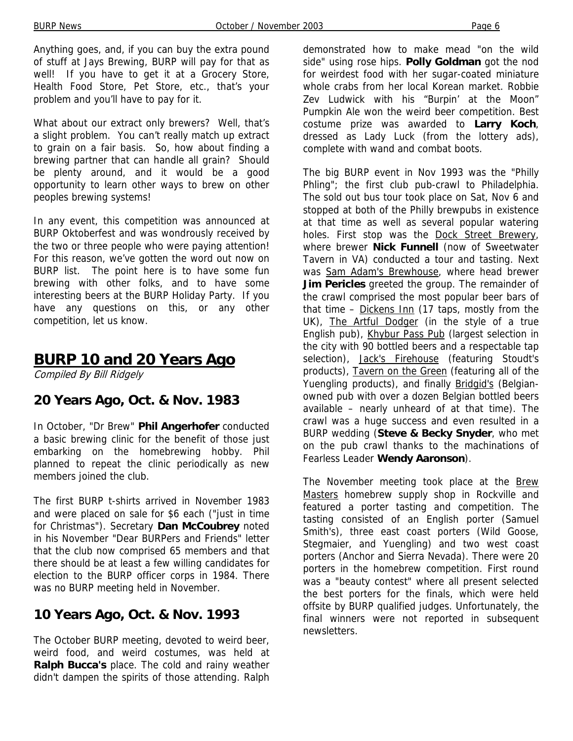Anything goes, and, if you can buy the extra pound of stuff at Jays Brewing, BURP will pay for that as well! If you have to get it at a Grocery Store, Health Food Store, Pet Store, etc., that's your problem and you'll have to pay for it.

What about our extract only brewers? Well, that's a slight problem. You can't really match up extract to grain on a fair basis. So, how about finding a brewing partner that can handle all grain? Should be plenty around, and it would be a good opportunity to learn other ways to brew on other peoples brewing systems!

In any event, this competition was announced at BURP Oktoberfest and was wondrously received by the two or three people who were paying attention! For this reason, we've gotten the word out now on BURP list. The point here is to have some fun brewing with other folks, and to have some interesting beers at the BURP Holiday Party. If you have any questions on this, or any other competition, let us know.

## **BURP 10 and 20 Years Ago**

Compiled By Bill Ridgely

#### **20 Years Ago, Oct. & Nov. 1983**

In October, "Dr Brew" **Phil Angerhofer** conducted a basic brewing clinic for the benefit of those just embarking on the homebrewing hobby. Phil planned to repeat the clinic periodically as new members joined the club.

The first BURP t-shirts arrived in November 1983 and were placed on sale for \$6 each ("just in time for Christmas"). Secretary **Dan McCoubrey** noted in his November "Dear BURPers and Friends" letter that the club now comprised 65 members and that there should be at least a few willing candidates for election to the BURP officer corps in 1984. There was no BURP meeting held in November.

### **10 Years Ago, Oct. & Nov. 1993**

The October BURP meeting, devoted to weird beer, weird food, and weird costumes, was held at **Ralph Bucca's** place. The cold and rainy weather didn't dampen the spirits of those attending. Ralph demonstrated how to make mead "on the wild side" using rose hips. **Polly Goldman** got the nod for weirdest food with her sugar-coated miniature whole crabs from her local Korean market. Robbie Zev Ludwick with his "Burpin' at the Moon" Pumpkin Ale won the weird beer competition. Best costume prize was awarded to **Larry Koch**, dressed as Lady Luck (from the lottery ads), complete with wand and combat boots.

The big BURP event in Nov 1993 was the "Philly Phling"; the first club pub-crawl to Philadelphia. The sold out bus tour took place on Sat, Nov 6 and stopped at both of the Philly brewpubs in existence at that time as well as several popular watering holes. First stop was the Dock Street Brewery, where brewer **Nick Funnell** (now of Sweetwater Tavern in VA) conducted a tour and tasting. Next was Sam Adam's Brewhouse, where head brewer **Jim Pericles** greeted the group. The remainder of the crawl comprised the most popular beer bars of that time – Dickens Inn (17 taps, mostly from the UK), The Artful Dodger (in the style of a true English pub), Khybur Pass Pub (largest selection in the city with 90 bottled beers and a respectable tap selection), Jack's Firehouse (featuring Stoudt's products), Tavern on the Green (featuring all of the Yuengling products), and finally **Bridgid's** (Belgianowned pub with over a dozen Belgian bottled beers available – nearly unheard of at that time). The crawl was a huge success and even resulted in a BURP wedding (**Steve & Becky Snyder**, who met on the pub crawl thanks to the machinations of Fearless Leader **Wendy Aaronson**).

The November meeting took place at the **Brew** Masters homebrew supply shop in Rockville and featured a porter tasting and competition. The tasting consisted of an English porter (Samuel Smith's), three east coast porters (Wild Goose, Stegmaier, and Yuengling) and two west coast porters (Anchor and Sierra Nevada). There were 20 porters in the homebrew competition. First round was a "beauty contest" where all present selected the best porters for the finals, which were held offsite by BURP qualified judges. Unfortunately, the final winners were not reported in subsequent newsletters.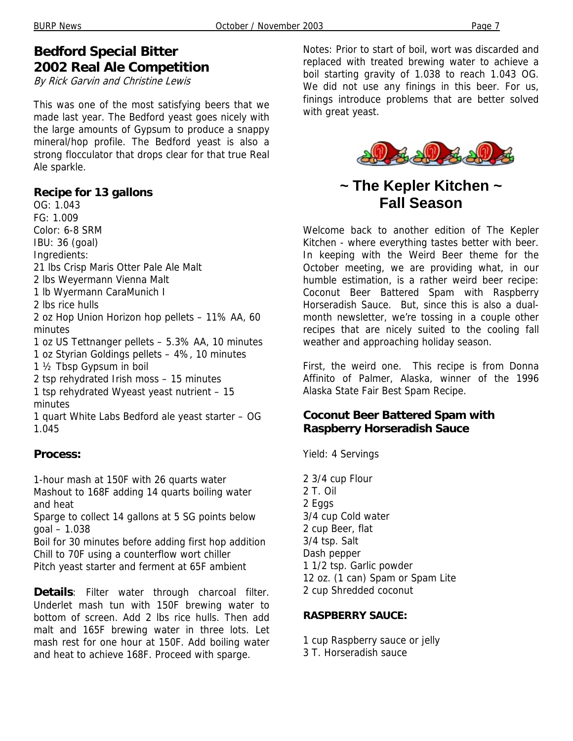### **Bedford Special Bitter 2002 Real Ale Competition**

By Rick Garvin and Christine Lewis

This was one of the most satisfying beers that we made last year. The Bedford yeast goes nicely with the large amounts of Gypsum to produce a snappy mineral/hop profile. The Bedford yeast is also a strong flocculator that drops clear for that true Real Ale sparkle.

#### **Recipe for 13 gallons**

OG: 1.043 FG: 1.009 Color: 6-8 SRM IBU: 36 (goal) Ingredients: 21 lbs Crisp Maris Otter Pale Ale Malt 2 lbs Weyermann Vienna Malt 1 lb Wyermann CaraMunich I 2 lbs rice hulls 2 oz Hop Union Horizon hop pellets – 11% AA, 60 minutes 1 oz US Tettnanger pellets – 5.3% AA, 10 minutes 1 oz Styrian Goldings pellets – 4%, 10 minutes 1 ½ Tbsp Gypsum in boil 2 tsp rehydrated Irish moss – 15 minutes 1 tsp rehydrated Wyeast yeast nutrient – 15 minutes 1 quart White Labs Bedford ale yeast starter – OG 1.045

#### **Process:**

1-hour mash at 150F with 26 quarts water Mashout to 168F adding 14 quarts boiling water and heat

Sparge to collect 14 gallons at 5 SG points below goal – 1.038

Boil for 30 minutes before adding first hop addition Chill to 70F using a counterflow wort chiller Pitch yeast starter and ferment at 65F ambient

**Details**: Filter water through charcoal filter. Underlet mash tun with 150F brewing water to bottom of screen. Add 2 lbs rice hulls. Then add malt and 165F brewing water in three lots. Let mash rest for one hour at 150F. Add boiling water and heat to achieve 168F. Proceed with sparge.

Notes: Prior to start of boil, wort was discarded and replaced with treated brewing water to achieve a boil starting gravity of 1.038 to reach 1.043 OG. We did not use any finings in this beer. For us, finings introduce problems that are better solved with great yeast.



## **~ The Kepler Kitchen ~ Fall Season**

Welcome back to another edition of The Kepler Kitchen - where everything tastes better with beer. In keeping with the Weird Beer theme for the October meeting, we are providing what, in our humble estimation, is a rather weird beer recipe: Coconut Beer Battered Spam with Raspberry Horseradish Sauce. But, since this is also a dualmonth newsletter, we're tossing in a couple other recipes that are nicely suited to the cooling fall weather and approaching holiday season.

First, the weird one. This recipe is from Donna Affinito of Palmer, Alaska, winner of the 1996 Alaska State Fair Best Spam Recipe.

#### **Coconut Beer Battered Spam with Raspberry Horseradish Sauce**

Yield: 4 Servings

2 3/4 cup Flour 2 T. Oil 2 Eggs 3/4 cup Cold water 2 cup Beer, flat 3/4 tsp. Salt Dash pepper 1 1/2 tsp. Garlic powder 12 oz. (1 can) Spam or Spam Lite 2 cup Shredded coconut

#### **RASPBERRY SAUCE:**

1 cup Raspberry sauce or jelly 3 T. Horseradish sauce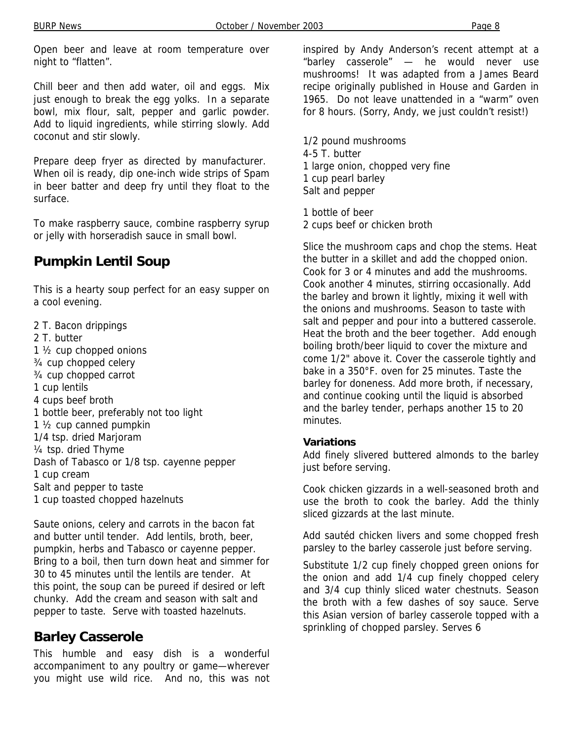Open beer and leave at room temperature over night to "flatten".

Chill beer and then add water, oil and eggs. Mix just enough to break the egg yolks. In a separate bowl, mix flour, salt, pepper and garlic powder. Add to liquid ingredients, while stirring slowly. Add coconut and stir slowly.

Prepare deep fryer as directed by manufacturer. When oil is ready, dip one-inch wide strips of Spam in beer batter and deep fry until they float to the surface.

To make raspberry sauce, combine raspberry syrup or jelly with horseradish sauce in small bowl.

## **Pumpkin Lentil Soup**

This is a hearty soup perfect for an easy supper on a cool evening.

2 T. Bacon drippings 2 T. butter 1 ½ cup chopped onions ¾ cup chopped celery ¾ cup chopped carrot 1 cup lentils 4 cups beef broth 1 bottle beer, preferably not too light 1 ½ cup canned pumpkin 1/4 tsp. dried Marjoram ¼ tsp. dried Thyme Dash of Tabasco or 1/8 tsp. cayenne pepper 1 cup cream Salt and pepper to taste 1 cup toasted chopped hazelnuts

Saute onions, celery and carrots in the bacon fat and butter until tender. Add lentils, broth, beer, pumpkin, herbs and Tabasco or cayenne pepper. Bring to a boil, then turn down heat and simmer for 30 to 45 minutes until the lentils are tender. At this point, the soup can be pureed if desired or left chunky. Add the cream and season with salt and pepper to taste. Serve with toasted hazelnuts.

## **Barley Casserole**

This humble and easy dish is a wonderful accompaniment to any poultry or game—wherever you might use wild rice. And no, this was not

inspired by Andy Anderson's recent attempt at a "barley casserole" — he would never use mushrooms! It was adapted from a James Beard recipe originally published in House and Garden in 1965. Do not leave unattended in a "warm" oven for 8 hours. (Sorry, Andy, we just couldn't resist!)

1/2 pound mushrooms 4-5 T. butter 1 large onion, chopped very fine 1 cup pearl barley Salt and pepper

1 bottle of beer 2 cups beef or chicken broth

Slice the mushroom caps and chop the stems. Heat the butter in a skillet and add the chopped onion. Cook for 3 or 4 minutes and add the mushrooms. Cook another 4 minutes, stirring occasionally. Add the barley and brown it lightly, mixing it well with the onions and mushrooms. Season to taste with salt and pepper and pour into a buttered casserole. Heat the broth and the beer together. Add enough boiling broth/beer liquid to cover the mixture and come 1/2" above it. Cover the casserole tightly and bake in a 350°F. oven for 25 minutes. Taste the barley for doneness. Add more broth, if necessary, and continue cooking until the liquid is absorbed and the barley tender, perhaps another 15 to 20 minutes.

#### **Variations**

Add finely slivered buttered almonds to the barley just before serving.

Cook chicken gizzards in a well-seasoned broth and use the broth to cook the barley. Add the thinly sliced gizzards at the last minute.

Add sautéd chicken livers and some chopped fresh parsley to the barley casserole just before serving.

Substitute 1/2 cup finely chopped green onions for the onion and add 1/4 cup finely chopped celery and 3/4 cup thinly sliced water chestnuts. Season the broth with a few dashes of soy sauce. Serve this Asian version of barley casserole topped with a sprinkling of chopped parsley. Serves 6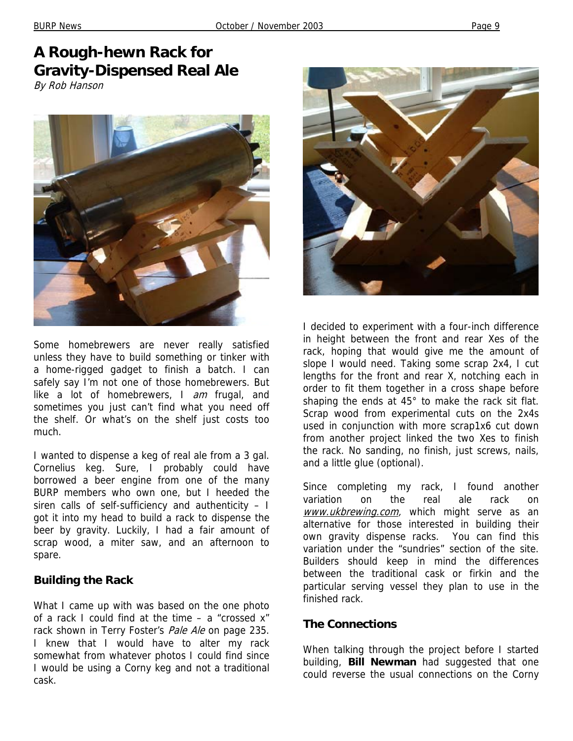## **A Rough-hewn Rack for Gravity-Dispensed Real Ale**

By Rob Hanson



Some homebrewers are never really satisfied unless they have to build something or tinker with a home-rigged gadget to finish a batch. I can safely say I'm not one of those homebrewers. But like a lot of homebrewers, I am frugal, and sometimes you just can't find what you need off the shelf. Or what's on the shelf just costs too much.

I wanted to dispense a keg of real ale from a 3 gal. Cornelius keg. Sure, I probably could have borrowed a beer engine from one of the many BURP members who own one, but I heeded the siren calls of self-sufficiency and authenticity – I got it into my head to build a rack to dispense the beer by gravity. Luckily, I had a fair amount of scrap wood, a miter saw, and an afternoon to spare.

#### **Building the Rack**

What I came up with was based on the one photo of a rack I could find at the time – a "crossed x" rack shown in Terry Foster's Pale Ale on page 235. I knew that I would have to alter my rack somewhat from whatever photos I could find since I would be using a Corny keg and not a traditional cask.



I decided to experiment with a four-inch difference in height between the front and rear Xes of the rack, hoping that would give me the amount of slope I would need. Taking some scrap 2x4, I cut lengths for the front and rear X, notching each in order to fit them together in a cross shape before shaping the ends at 45° to make the rack sit flat. Scrap wood from experimental cuts on the 2x4s used in conjunction with more scrap1x6 cut down from another project linked the two Xes to finish the rack. No sanding, no finish, just screws, nails, and a little glue (optional).

Since completing my rack, I found another variation on the real ale rack on www.ukbrewing.com, which might serve as an alternative for those interested in building their own gravity dispense racks. You can find this variation under the "sundries" section of the site. Builders should keep in mind the differences between the traditional cask or firkin and the particular serving vessel they plan to use in the finished rack.

#### **The Connections**

When talking through the project before I started building, **Bill Newman** had suggested that one could reverse the usual connections on the Corny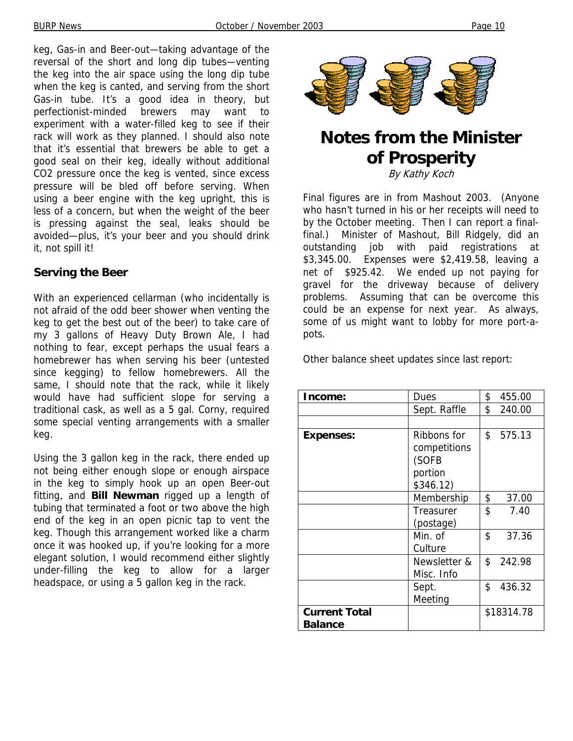keg, Gas-in and Beer-out—taking advantage of the reversal of the short and long dip tubes—venting the keg into the air space using the long dip tube when the keg is canted, and serving from the short Gas-in tube. It's a good idea in theory, but perfectionist-minded brewers may want to experiment with a water-filled keg to see if their rack will work as they planned. I should also note that it's essential that brewers be able to get a good seal on their keg, ideally without additional CO2 pressure once the keg is vented, since excess pressure will be bled off before serving. When using a beer engine with the keg upright, this is less of a concern, but when the weight of the beer is pressing against the seal, leaks should be avoided—plus, it's your beer and you should drink it, not spill it!

#### **Serving the Beer**

With an experienced cellarman (who incidentally is not afraid of the odd beer shower when venting the keg to get the best out of the beer) to take care of my 3 gallons of Heavy Duty Brown Ale, I had nothing to fear, except perhaps the usual fears a homebrewer has when serving his beer (untested since kegging) to fellow homebrewers. All the same, I should note that the rack, while it likely would have had sufficient slope for serving a traditional cask, as well as a 5 gal. Corny, required some special venting arrangements with a smaller keg.

Using the 3 gallon keg in the rack, there ended up not being either enough slope or enough airspace in the keg to simply hook up an open Beer-out fitting, and **Bill Newman** rigged up a length of tubing that terminated a foot or two above the high end of the keg in an open picnic tap to vent the keg. Though this arrangement worked like a charm once it was hooked up, if you're looking for a more elegant solution, I would recommend either slightly under-filling the keg to allow for a larger headspace, or using a 5 gallon keg in the rack.



## **Notes from the Minister of Prosperity**

By Kathy Koch

Final figures are in from Mashout 2003. (Anyone who hasn't turned in his or her receipts will need to by the October meeting. Then I can report a finalfinal.) Minister of Mashout, Bill Ridgely, did an outstanding job with paid registrations at \$3,345.00. Expenses were \$2,419.58, leaving a net of \$925.42. We ended up not paying for gravel for the driveway because of delivery problems. Assuming that can be overcome this could be an expense for next year. As always, some of us might want to lobby for more port-apots.

Other balance sheet updates since last report:

| Income:                                | Dues                                                         | \$         | 455.00 |
|----------------------------------------|--------------------------------------------------------------|------------|--------|
|                                        | Sept. Raffle                                                 | \$         | 240.00 |
|                                        |                                                              |            |        |
| <b>Expenses:</b>                       | Ribbons for<br>competitions<br>(SOFB<br>portion<br>\$346.12) | \$         | 575.13 |
|                                        | Membership                                                   | \$         | 37.00  |
|                                        | Treasurer<br>(postage)                                       | \$         | 7.40   |
|                                        | Min. of<br>Culture                                           | \$         | 37.36  |
|                                        | Newsletter &<br>Misc. Info                                   | \$         | 242.98 |
|                                        | Sept.<br>Meeting                                             | \$         | 436.32 |
| <b>Current Total</b><br><b>Balance</b> |                                                              | \$18314.78 |        |